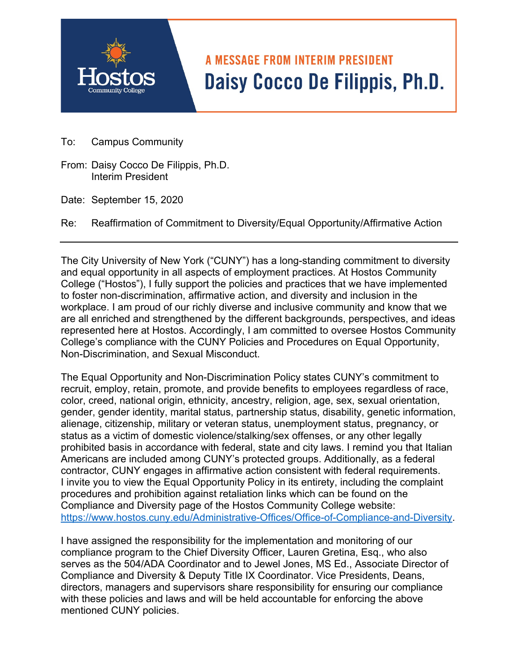## **A MESSAGE FROM INTERIM PRESIDENT** Daisy Cocco De Filippis, Ph.D.

- To: Campus Community
- From: Daisy Cocco De Filippis, Ph.D. Interim President
- Date: September 15, 2020
- Re: Reaffirmation of Commitment to Diversity/Equal Opportunity/Affirmative Action

The City University of New York ("CUNY") has a long-standing commitment to diversity and equal opportunity in all aspects of employment practices. At Hostos Community College ("Hostos"), I fully support the policies and practices that we have implemented to foster non-discrimination, affirmative action, and diversity and inclusion in the workplace. I am proud of our richly diverse and inclusive community and know that we are all enriched and strengthened by the different backgrounds, perspectives, and ideas represented here at Hostos. Accordingly, I am committed to oversee Hostos Community College's compliance with the CUNY Policies and Procedures on Equal Opportunity, Non-Discrimination, and Sexual Misconduct.

The Equal Opportunity and Non-Discrimination Policy states CUNY's commitment to recruit, employ, retain, promote, and provide benefits to employees regardless of race, color, creed, national origin, ethnicity, ancestry, religion, age, sex, sexual orientation, gender, gender identity, marital status, partnership status, disability, genetic information, alienage, citizenship, military or veteran status, unemployment status, pregnancy, or status as a victim of domestic violence/stalking/sex offenses, or any other legally prohibited basis in accordance with federal, state and city laws. I remind you that Italian Americans are included among CUNY's protected groups. Additionally, as a federal contractor, CUNY engages in affirmative action consistent with federal requirements. I invite you to view the Equal Opportunity Policy in its entirety, including the complaint procedures and prohibition against retaliation links which can be found on the Compliance and Diversity page of the Hostos Community College website: [https://www.hostos.cuny.edu/Administrative-Offices/Office-of-Compliance-and-Diversity.](https://www.hostos.cuny.edu/Administrative-Offices/Office-of-Compliance-and-Diversity)

I have assigned the responsibility for the implementation and monitoring of our compliance program to the Chief Diversity Officer, Lauren Gretina, Esq., who also serves as the 504/ADA Coordinator and to Jewel Jones, MS Ed., Associate Director of Compliance and Diversity & Deputy Title IX Coordinator. Vice Presidents, Deans, directors, managers and supervisors share responsibility for ensuring our compliance with these policies and laws and will be held accountable for enforcing the above mentioned CUNY policies.